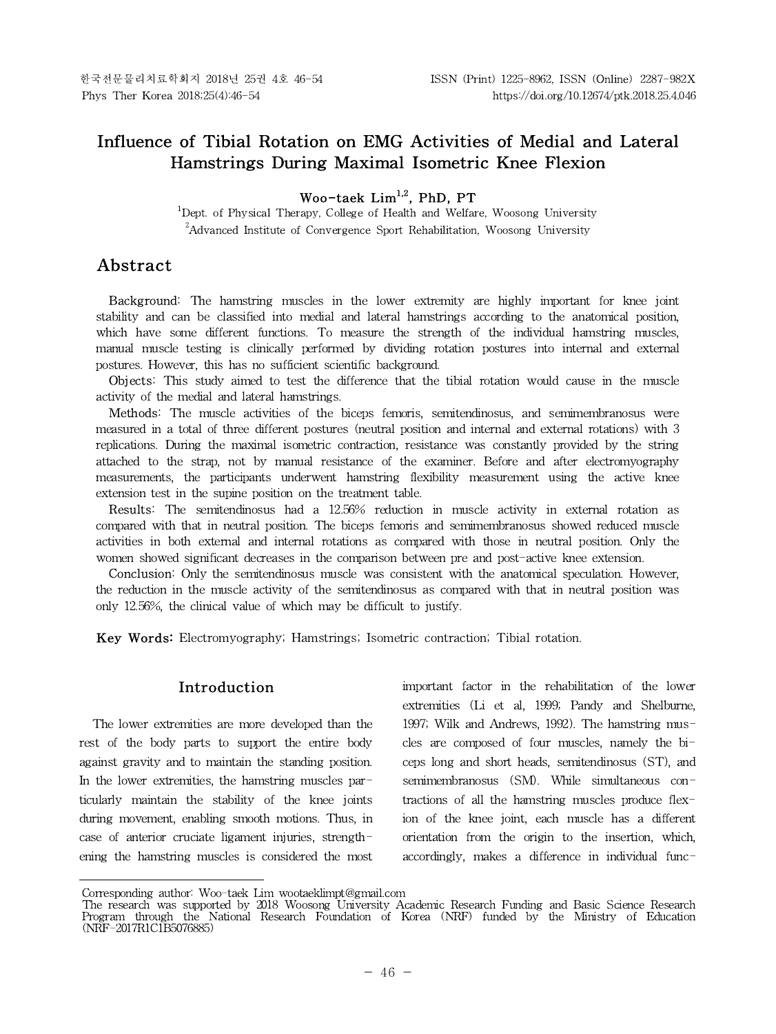# **Influence of Tibial Rotation on EMG Activities of Medial and Lateral Hamstrings During Maximal Isometric Knee Flexion**

# **Woo-taek Lim1,2 , PhD, PT**

<sup>1</sup>Dept. of Physical Therapy, College of Health and Welfare, Woosong University <sup>2</sup>Advanced Institute of Convergence Sport Rehabilitation, Woosong University

# **Abstract1)**

Background: The hamstring muscles in the lower extremity are highly important for knee joint stability and can be classified into medial and lateral hamstrings according to the anatomical position, which have some different functions. To measure the strength of the individual hamstring muscles, manual muscle testing is clinically performed by dividing rotation postures into internal and external postures. However, this has no sufficient scientific background.

Objects: This study aimed to test the difference that the tibial rotation would cause in the muscle activity of the medial and lateral hamstrings.

Methods: The muscle activities of the biceps femoris, semitendinosus, and semimembranosus were measured in a total of three different postures (neutral position and internal and external rotations) with 3 replications. During the maximal isometric contraction, resistance was constantly provided by the string attached to the strap, not by manual resistance of the examiner. Before and after electromyography measurements, the participants underwent hamstring flexibility measurement using the active knee extension test in the supine position on the treatment table.

Results: The semitendinosus had a 12.56% reduction in muscle activity in external rotation as compared with that in neutral position. The biceps femoris and semimembranosus showed reduced muscle activities in both external and internal rotations as compared with those in neutral position. Only the women showed significant decreases in the comparison between pre and post-active knee extension.

**Conclusion:** Only the semitendinosus muscle was consistent with the anatomical speculation. However, the reduction in the muscle activity of the semitendinosus as compared with that in neutral position was only 12.56%, the clinical value of which may be difficult to justify.

**Key Words:** Electromyography; Hamstrings; Isometric contraction; Tibial rotation.

# **Introduction**

The lower extremities are more developed than the rest of the body parts to support the entire body against gravity and to maintain the standing position. In the lower extremities, the hamstring muscles particularly maintain the stability of the knee joints during movement, enabling smooth motions. Thus, in case of anterior cruciate ligament injuries, strengthening the hamstring muscles is considered the most important factor in the rehabilitation of the lower extremities (Li et al, 1999; Pandy and Shelburne, 1997; Wilk and Andrews, 1992). The hamstring muscles are composed of four muscles, namely the  $bi$ ceps long and short heads, semitendinosus (ST), and semimembranosus (SM). While simultaneous contractions of all the hamstring muscles produce flexion of the knee joint, each muscle has a different orientation from the origin to the insertion, which, accordingly, makes a difference in individual func-

Corresponding author: Woo-taek Lim wootaeklimpt@gmail.com

The research was supported by 2018 Woosong University Academic Research Funding and Basic Science Research Program through the National Research Foundation of Korea (NRF) funded by the Ministry of Education (NRF-2017R1C1B5076885)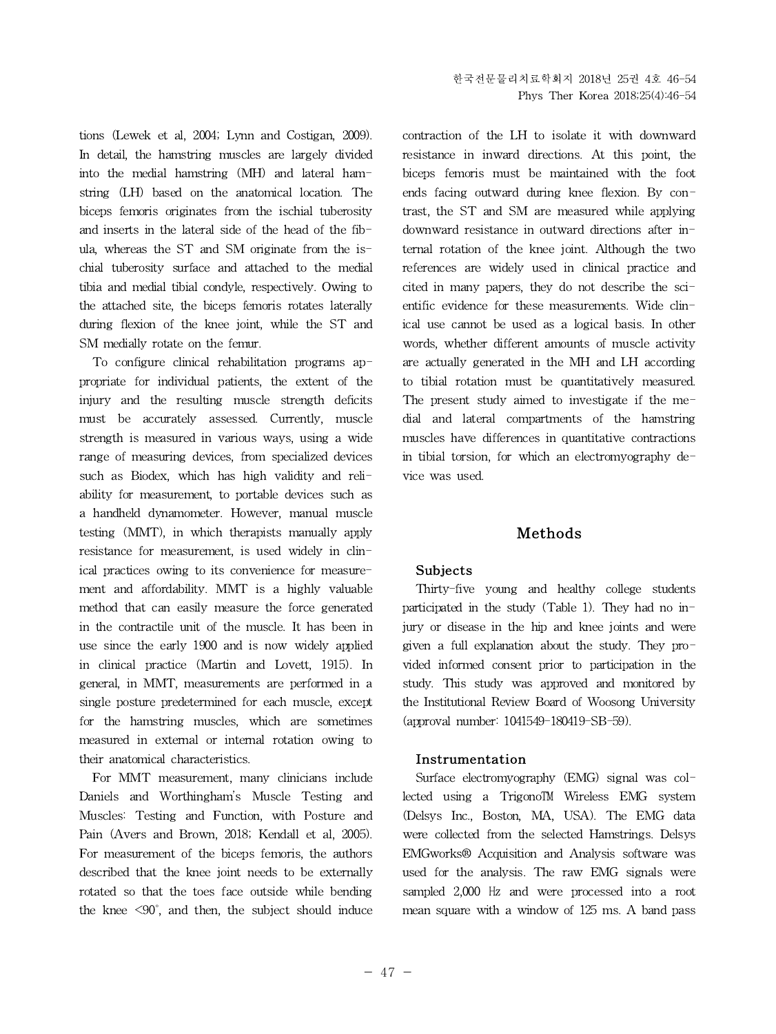tions (Lewek et al, 2004; Lynn and Costigan, 2009). In detail, the hamstring muscles are largely divided into the medial hamstring (MH) and lateral hamstring (LH) based on the anatomical location. The biceps femoris originates from the ischial tuberosity and inserts in the lateral side of the head of the fibula, whereas the ST and SM originate from the ischial tuberosity surface and attached to the medial tibia and medial tibial condyle, respectively. Owing to the attached site, the biceps femoris rotates laterally during flexion of the knee joint, while the ST and SM medially rotate on the femur.

To configure clinical rehabilitation programs appropriate for individual patients, the extent of the injury and the resulting muscle strength deficits must be accurately assessed. Currently, muscle strength is measured in various ways, using a wide range of measuring devices, from specialized devices such as Biodex, which has high validity and reliability for measurement, to portable devices such as a handheld dynamometer. However, manual muscle testing (MMT), in which therapists manually apply resistance for measurement, is used widely in clinical practices owing to its convenience for measurement and affordability. MMT is a highly valuable method that can easily measure the force generated in the contractile unit of the muscle. It has been in use since the early 1900 and is now widely applied in clinical practice (Martin and Lovett, 1915). In general, in MMT, measurements are performed in a single posture predetermined for each muscle, except for the hamstring muscles, which are sometimes measured in external or internal rotation owing to their anatomical characteristics.

For MMT measurement, many clinicians include Daniels and Worthingham's Muscle Testing and Muscles: Testing and Function, with Posture and Pain (Avers and Brown, 2018; Kendall et al, 2005). For measurement of the biceps femoris, the authors described that the knee joint needs to be externally rotated so that the toes face outside while bending the knee  $\leq 90^\circ$ , and then, the subject should induce contraction of the LH to isolate it with downward resistance in inward directions. At this point, the biceps femoris must be maintained with the foot ends facing outward during knee flexion. By contrast, the ST and SM are measured while applying downward resistance in outward directions after internal rotation of the knee joint. Although the two references are widely used in clinical practice and cited in many papers, they do not describe the scientific evidence for these measurements. Wide clinical use cannot be used as a logical basis. In other words, whether different amounts of muscle activity are actually generated in the MH and LH according to tibial rotation must be quantitatively measured. The present study aimed to investigate if the medial and lateral compartments of the hamstring muscles have differences in quantitative contractions in tibial torsion, for which an electromyography device was used.

# **Methods**

# **Subjects**

Thirty-five young and healthy college students participated in the study (Table 1). They had no injury or disease in the hip and knee joints and were given a full explanation about the study. They provided informed consent prior to participation in the study. This study was approved and monitored by the Institutional Review Board of Woosong University (approval number: 1041549-180419-SB-59).

#### **Instrumentation**

Surface electromyography (EMG) signal was collected using a Trigono™ Wireless EMG system (Delsys Inc., Boston, MA, USA). The EMG data were collected from the selected Hamstrings. Delsys EMGworks® Acquisition and Analysis software was used for the analysis. The raw EMG signals were sampled 2,000 Hz and were processed into a root mean square with a window of 125 ms. A band pass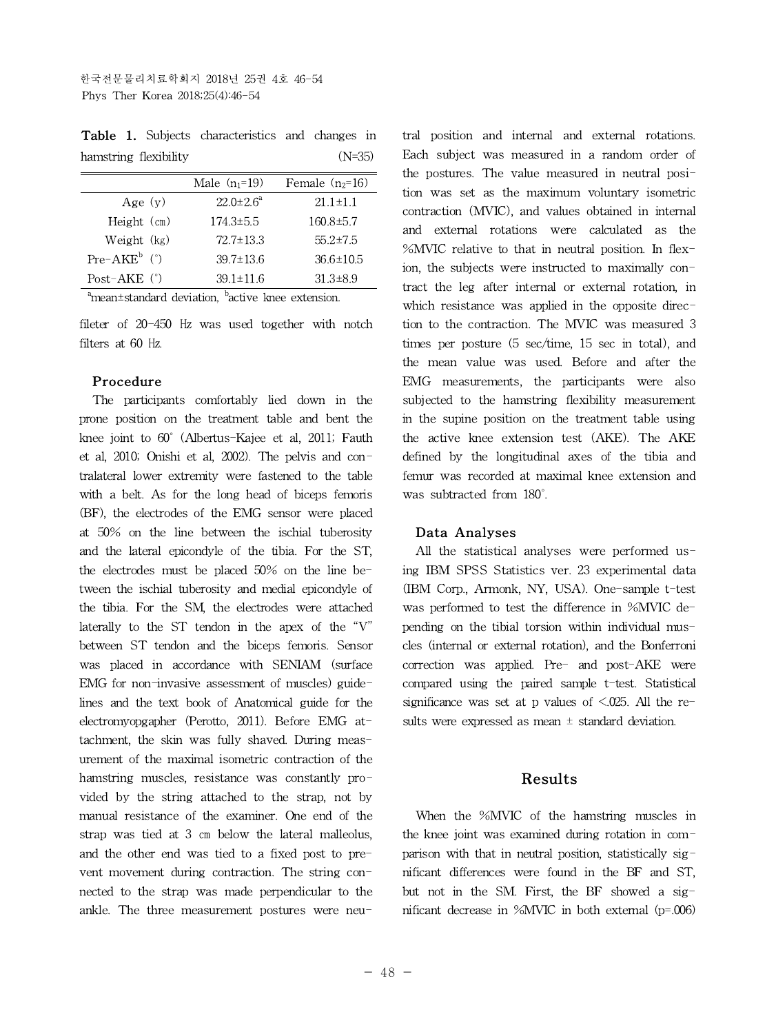**Table 1.** Subjects characteristics and changes in hamstring flexibility (N=35)

|                           | Male $(n_1=19)$        | Female $(n_2=16)$ |
|---------------------------|------------------------|-------------------|
| Age $(y)$                 | $22.0 \pm 2.6^{\circ}$ | $21.1 \pm 1.1$    |
| Height $(cm)$             | $174.3 \pm 5.5$        | $160.8 \pm 5.7$   |
| Weight (kg)               | $72.7 \pm 13.3$        | $55.2 \pm 7.5$    |
| $Pre-AKE^b$ ( $\degree$ ) | $39.7 \pm 13.6$        | $36.6 \pm 10.5$   |
| Post-AKE $(°)$            | $39.1 \pm 11.6$        | $31.3 \pm 8.9$    |

 $\alpha$ <sup>a</sup>mean±standard deviation,  $\alpha$ <sup>b</sup>active knee extension.

fileter of 20-450 Hz was used together with notch filters at 60 Hz.

#### **Procedure**

The participants comfortably lied down in the prone position on the treatment table and bent the knee joint to 60˚ (Albertus-Kajee et al, 2011; Fauth et al, 2010; Onishi et al, 2002). The pelvis and contralateral lower extremity were fastened to the table with a belt. As for the long head of biceps femoris (BF), the electrodes of the EMG sensor were placed at 50% on the line between the ischial tuberosity and the lateral epicondyle of the tibia. For the ST, the electrodes must be placed 50% on the line between the ischial tuberosity and medial epicondyle of the tibia. For the SM, the electrodes were attached laterally to the ST tendon in the apex of the "V" between ST tendon and the biceps femoris. Sensor was placed in accordance with SENIAM (surface EMG for non-invasive assessment of muscles) guidelines and the text book of Anatomical guide for the electromyopgapher (Perotto, 2011). Before EMG attachment, the skin was fully shaved. During measurement of the maximal isometric contraction of the hamstring muscles, resistance was constantly provided by the string attached to the strap, not by manual resistance of the examiner. One end of the strap was tied at 3 cm below the lateral malleolus, and the other end was tied to a fixed post to prevent movement during contraction. The string connected to the strap was made perpendicular to the ankle. The three measurement postures were neutral position and internal and external rotations. Each subject was measured in a random order of the postures. The value measured in neutral position was set as the maximum voluntary isometric contraction (MVIC), and values obtained in internal and external rotations were calculated as the %MVIC relative to that in neutral position. In flexion, the subjects were instructed to maximally contract the leg after internal or external rotation, in which resistance was applied in the opposite direction to the contraction. The MVIC was measured 3 times per posture (5 sec/time, 15 sec in total), and the mean value was used. Before and after the EMG measurements, the participants were also subjected to the hamstring flexibility measurement in the supine position on the treatment table using the active knee extension test (AKE). The AKE defined by the longitudinal axes of the tibia and femur was recorded at maximal knee extension and was subtracted from 180˚.

# **Data Analyses**

All the statistical analyses were performed using IBM SPSS Statistics ver. 23 experimental data (IBM Corp., Armonk, NY, USA). One-sample t-test was performed to test the difference in %MVIC depending on the tibial torsion within individual muscles (internal or external rotation), and the Bonferroni correction was applied. Pre- and post-AKE were compared using the paired sample t-test. Statistical significance was set at p values of  $\leq 0.025$ . All the results were expressed as mean  $±$  standard deviation.

# **Results**

When the %MVIC of the hamstring muscles in the knee joint was examined during rotation in comparison with that in neutral position, statistically significant differences were found in the BF and ST, but not in the SM. First, the BF showed a significant decrease in %MVIC in both external (p=.006)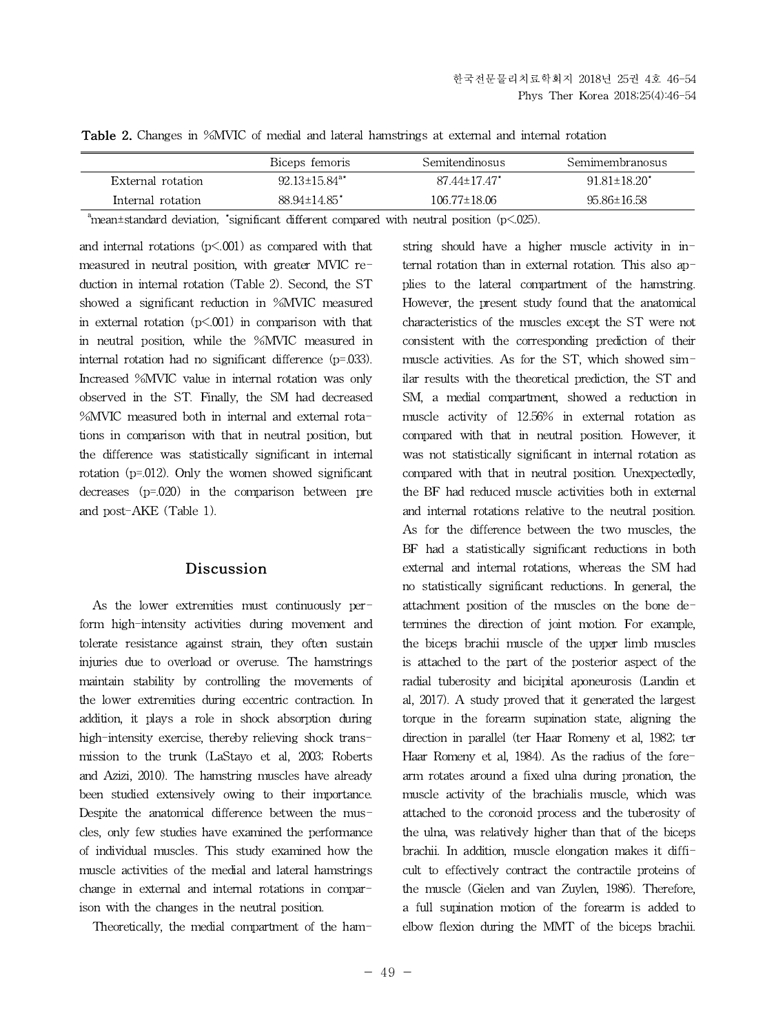|  |  | <b>Table 2.</b> Changes in %MVIC of medial and lateral hamstrings at external and internal rotation |  |
|--|--|-----------------------------------------------------------------------------------------------------|--|
|--|--|-----------------------------------------------------------------------------------------------------|--|

|                   | Biceps femoris                  | Semitendinosus     | Semimembranosus     |
|-------------------|---------------------------------|--------------------|---------------------|
| External rotation | $92.13 \pm 15.84$ <sup>a*</sup> | 87.44±17.47*       | $91.81 \pm 18.20^*$ |
| Internal rotation | $88.94 \pm 14.85$ <sup>*</sup>  | $106.77 \pm 18.06$ | 95.86±16.58         |

 $a<sup>a</sup>$ mean±standard deviation, \*significant different compared with neutral position (p<.025).

and internal rotations  $(p<.001)$  as compared with that measured in neutral position, with greater MVIC reduction in internal rotation (Table 2). Second, the ST showed a significant reduction in %MVIC measured in external rotation  $(p<.001)$  in comparison with that in neutral position, while the %MVIC measured in internal rotation had no significant difference (p=.033). Increased %MVIC value in internal rotation was only observed in the ST. Finally, the SM had decreased %MVIC measured both in internal and external rotations in comparison with that in neutral position, but the difference was statistically significant in internal rotation (p=.012). Only the women showed significant decreases (p=.020) in the comparison between pre and post-AKE (Table 1).

#### **Discussion**

As the lower extremities must continuously perform high-intensity activities during movement and tolerate resistance against strain, they often sustain injuries due to overload or overuse. The hamstrings maintain stability by controlling the movements of the lower extremities during eccentric contraction. In addition, it plays a role in shock absorption during high-intensity exercise, thereby relieving shock transmission to the trunk (LaStayo et al, 2003; Roberts and Azizi, 2010). The hamstring muscles have already been studied extensively owing to their importance. Despite the anatomical difference between the muscles, only few studies have examined the performance of individual muscles. This study examined how the muscle activities of the medial and lateral hamstrings change in external and internal rotations in comparison with the changes in the neutral position.

Theoretically, the medial compartment of the ham-

string should have a higher muscle activity in internal rotation than in external rotation. This also applies to the lateral compartment of the hamstring. However, the present study found that the anatomical characteristics of the muscles except the ST were not consistent with the corresponding prediction of their muscle activities. As for the ST, which showed similar results with the theoretical prediction, the ST and SM, a medial compartment, showed a reduction in muscle activity of  $12.56\%$  in external rotation as compared with that in neutral position. However, it was not statistically significant in internal rotation as compared with that in neutral position. Unexpectedly, the BF had reduced muscle activities both in external and internal rotations relative to the neutral position. As for the difference between the two muscles, the BF had a statistically significant reductions in both external and internal rotations, whereas the SM had no statistically significant reductions. In general, the attachment position of the muscles on the bone determines the direction of joint motion. For example, the biceps brachii muscle of the upper limb muscles is attached to the part of the posterior aspect of the radial tuberosity and bicipital aponeurosis (Landin et al, 2017). A study proved that it generated the largest torque in the forearm supination state, aligning the direction in parallel (ter Haar Romeny et al, 1982; ter Haar Romeny et al, 1984). As the radius of the forearm rotates around a fixed ulna during pronation, the muscle activity of the brachialis muscle, which was attached to the coronoid process and the tuberosity of the ulna, was relatively higher than that of the biceps brachii. In addition, muscle elongation makes it difficult to effectively contract the contractile proteins of the muscle (Gielen and van Zuylen, 1986). Therefore, a full supination motion of the forearm is added to elbow flexion during the MMT of the biceps brachii.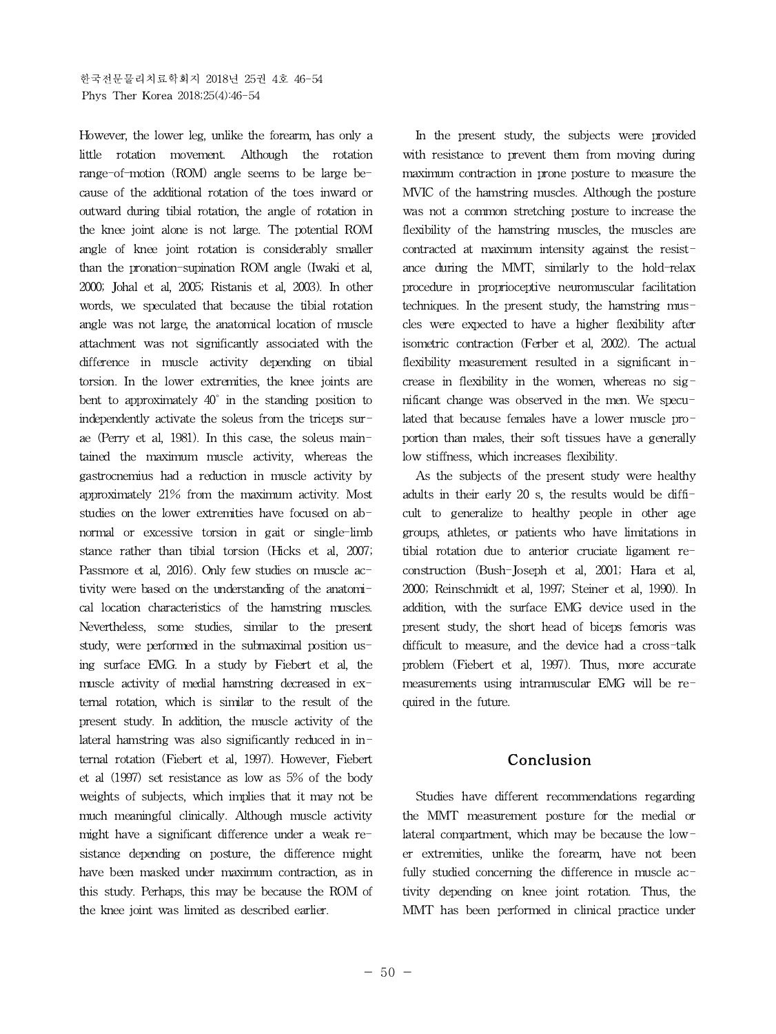However, the lower leg, unlike the forearm, has only a little rotation movement. Although the rotation range-of-motion (ROM) angle seems to be large because of the additional rotation of the toes inward or outward during tibial rotation, the angle of rotation in the knee joint alone is not large. The potential ROM angle of knee joint rotation is considerably smaller than the pronation-supination ROM angle (Iwaki et al, 2000; Johal et al, 2005; Ristanis et al, 2003). In other words, we speculated that because the tibial rotation angle was not large, the anatomical location of muscle attachment was not significantly associated with the difference in muscle activity depending on tibial torsion. In the lower extremities, the knee joints are bent to approximately 40˚ in the standing position to independently activate the soleus from the triceps surae (Perry et al, 1981). In this case, the soleus maintained the maximum muscle activity, whereas the gastrocnemius had a reduction in muscle activity by approximately 21% from the maximum activity. Most studies on the lower extremities have focused on abnormal or excessive torsion in gait or single-limb stance rather than tibial torsion (Hicks et al, 2007; Passmore et al, 2016). Only few studies on muscle activity were based on the understanding of the anatomical location characteristics of the hamstring muscles. Nevertheless, some studies, similar to the present study, were performed in the submaximal position using surface EMG. In a study by Fiebert et al, the muscle activity of medial hamstring decreased in external rotation, which is similar to the result of the present study. In addition, the muscle activity of the lateral hamstring was also significantly reduced in internal rotation (Fiebert et al, 1997). However, Fiebert et al (1997) set resistance as low as 5% of the body weights of subjects, which implies that it may not be much meaningful clinically. Although muscle activity might have a significant difference under a weak resistance depending on posture, the difference might have been masked under maximum contraction, as in this study. Perhaps, this may be because the ROM of the knee joint was limited as described earlier.

In the present study, the subjects were provided with resistance to prevent them from moving during maximum contraction in prone posture to measure the MVIC of the hamstring muscles. Although the posture was not a common stretching posture to increase the flexibility of the hamstring muscles, the muscles are contracted at maximum intensity against the resistance during the MMT, similarly to the hold-relax procedure in proprioceptive neuromuscular facilitation techniques. In the present study, the hamstring muscles were expected to have a higher flexibility after isometric contraction (Ferber et al, 2002). The actual flexibility measurement resulted in a significant increase in flexibility in the women, whereas no significant change was observed in the men. We speculated that because females have a lower muscle proportion than males, their soft tissues have a generally low stiffness, which increases flexibility.

As the subjects of the present study were healthy adults in their early 20 s, the results would be difficult to generalize to healthy people in other age groups, athletes, or patients who have limitations in tibial rotation due to anterior cruciate ligament reconstruction (Bush-Joseph et al, 2001; Hara et al, 2000; Reinschmidt et al, 1997; Steiner et al, 1990). In addition, with the surface EMG device used in the present study, the short head of biceps femoris was difficult to measure, and the device had a cross-talk problem (Fiebert et al, 1997). Thus, more accurate measurements using intramuscular EMG will be required in the future.

# **Conclusion**

Studies have different recommendations regarding the MMT measurement posture for the medial or lateral compartment, which may be because the lower extremities, unlike the forearm, have not been fully studied concerning the difference in muscle activity depending on knee joint rotation. Thus, the MMT has been performed in clinical practice under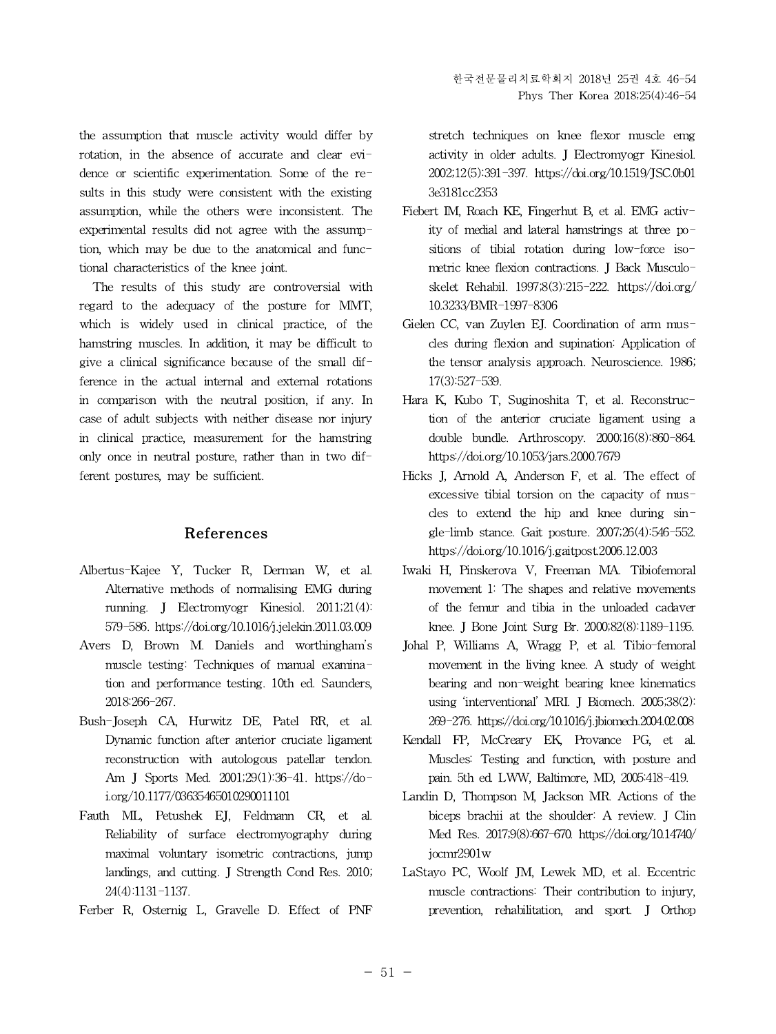the assumption that muscle activity would differ by rotation, in the absence of accurate and clear evidence or scientific experimentation. Some of the results in this study were consistent with the existing assumption, while the others were inconsistent. The experimental results did not agree with the assumption, which may be due to the anatomical and functional characteristics of the knee joint.

The results of this study are controversial with regard to the adequacy of the posture for MMT, which is widely used in clinical practice, of the hamstring muscles. In addition, it may be difficult to give a clinical significance because of the small difference in the actual internal and external rotations in comparison with the neutral position, if any. In case of adult subjects with neither disease nor injury in clinical practice, measurement for the hamstring only once in neutral posture, rather than in two different postures, may be sufficient.

# **References**

- Albertus-Kajee Y, Tucker R, Derman W, et al. Alternative methods of normalising EMG during running. J Electromyogr Kinesiol. 2011;21(4): 579-586. https://doi.org/10.1016/j.jelekin.2011.03.009
- Avers D, Brown M. Daniels and worthingham's muscle testing: Techniques of manual examination and performance testing. 10th ed. Saunders, 2018:266-267.
- Bush-Joseph CA, Hurwitz DE, Patel RR, et al. Dynamic function after anterior cruciate ligament reconstruction with autologous patellar tendon. Am J Sports Med. 2001;29(1):36-41. https://doi.org/10.1177/03635465010290011101
- Fauth ML, Petushek EJ, Feldmann CR, et al. Reliability of surface electromyography during maximal voluntary isometric contractions, jump landings, and cutting. J Strength Cond Res.2010; 24(4):1131-1137.
- Ferber R, Osternig L, Gravelle D. Effect of PNF

stretch techniques on knee flexor muscle emg activity in older adults. J Electromyogr Kinesiol. 2002;12(5):391-397. https://doi.org/10.1519/JSC.0b01 3e3181cc2353

- Fiebert IM, Roach KE, Fingerhut B, et al. EMG activity of medial and lateral hamstrings at three positions of tibial rotation during low-force isometric knee flexion contractions. J Back Musculoskelet Rehabil. 1997;8(3):215-222. https://doi.org/ 10.3233/BMR-1997-8306
- Gielen CC, van Zuylen EJ. Coordination of arm muscles during flexion and supination: Application of the tensor analysis approach. Neuroscience. 1986; 17(3):527-539.
- Hara K, Kubo T, Suginoshita T, et al. Reconstruction of the anterior cruciate ligament using a double bundle. Arthroscopy. 2000;16(8):860-864. https://doi.org/10.1053/jars.2000.7679
- Hicks J, Arnold A, Anderson F, et al. The effect of excessive tibial torsion on the capacity of muscles to extend the hip and knee during single-limb stance. Gait posture. 2007;26(4):546-552. https://doi.org/10.1016/j.gaitpost.2006.12.003
- Iwaki H, Pinskerova V, Freeman MA. Tibiofemoral movement 1: The shapes and relative movements of the femur and tibia in the unloaded cadaver knee. J Bone Joint Surg Br. 2000;82(8):1189-1195.
- Johal P, Williams A, Wragg P, et al. Tibio-femoral movement in the living knee. A study of weight bearing and non-weight bearing knee kinematics using 'interventional' MRI. J Biomech. 2005;38(2): 269-276. https://doi.org/10.1016/j.jbiomech.2004.02.008
- Kendall FP, McCreary EK, Provance PG, et al. Muscles: Testing and function, with posture and pain. 5th ed. LWW, Baltimore, MD, 2005:418-419.
- Landin D, Thompson M, Jackson MR. Actions of the biceps brachii at the shoulder: A review. J Clin Med Res. 2017;9(8):667-670. https://doi.org/10.14740/ jocmr2901w
- LaStayo PC, Woolf JM, Lewek MD, et al. Eccentric muscle contractions: Their contribution to injury, prevention, rehabilitation, and sport. J Orthop